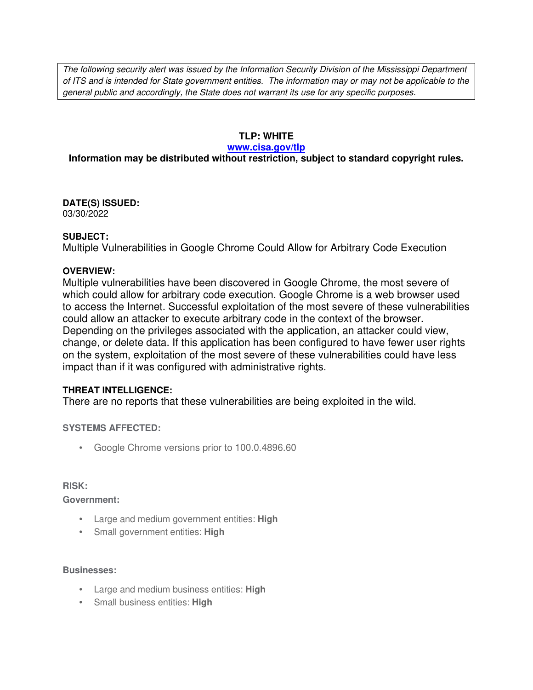The following security alert was issued by the Information Security Division of the Mississippi Department of ITS and is intended for State government entities. The information may or may not be applicable to the general public and accordingly, the State does not warrant its use for any specific purposes.

## **TLP: WHITE**

#### **www.cisa.gov/tlp**

## **Information may be distributed without restriction, subject to standard copyright rules.**

**DATE(S) ISSUED:** 03/30/2022

### **SUBJECT:**

Multiple Vulnerabilities in Google Chrome Could Allow for Arbitrary Code Execution

### **OVERVIEW:**

Multiple vulnerabilities have been discovered in Google Chrome, the most severe of which could allow for arbitrary code execution. Google Chrome is a web browser used to access the Internet. Successful exploitation of the most severe of these vulnerabilities could allow an attacker to execute arbitrary code in the context of the browser. Depending on the privileges associated with the application, an attacker could view, change, or delete data. If this application has been configured to have fewer user rights on the system, exploitation of the most severe of these vulnerabilities could have less impact than if it was configured with administrative rights.

## **THREAT INTELLIGENCE:**

There are no reports that these vulnerabilities are being exploited in the wild.

## **SYSTEMS AFFECTED:**

• Google Chrome versions prior to 100.0.4896.60

#### **RISK:**

**Government:**

- Large and medium government entities: **High**
- Small government entities: **High**

#### **Businesses:**

- Large and medium business entities: **High**
- Small business entities: **High**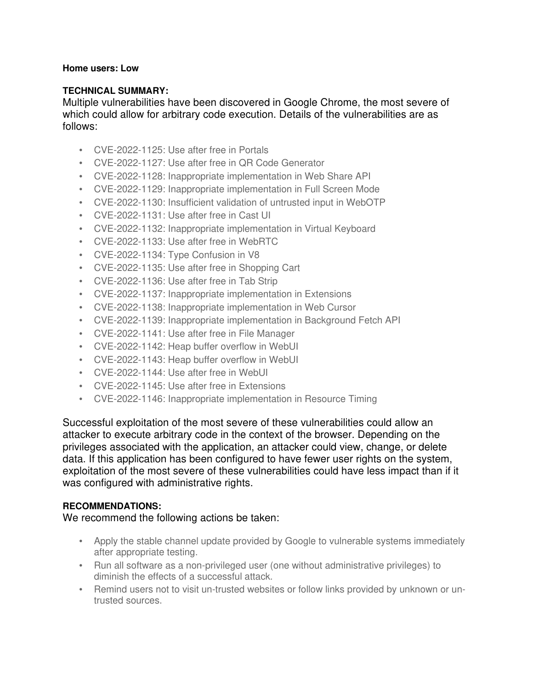### **Home users: Low**

## **TECHNICAL SUMMARY:**

Multiple vulnerabilities have been discovered in Google Chrome, the most severe of which could allow for arbitrary code execution. Details of the vulnerabilities are as follows:

- CVE-2022-1125: Use after free in Portals
- CVE-2022-1127: Use after free in QR Code Generator
- CVE-2022-1128: Inappropriate implementation in Web Share API
- CVE-2022-1129: Inappropriate implementation in Full Screen Mode
- CVE-2022-1130: Insufficient validation of untrusted input in WebOTP
- CVE-2022-1131: Use after free in Cast UI
- CVE-2022-1132: Inappropriate implementation in Virtual Keyboard
- CVE-2022-1133: Use after free in WebRTC
- CVE-2022-1134: Type Confusion in V8
- CVE-2022-1135: Use after free in Shopping Cart
- CVE-2022-1136: Use after free in Tab Strip
- CVE-2022-1137: Inappropriate implementation in Extensions
- CVE-2022-1138: Inappropriate implementation in Web Cursor
- CVE-2022-1139: Inappropriate implementation in Background Fetch API
- CVE-2022-1141: Use after free in File Manager
- CVE-2022-1142: Heap buffer overflow in WebUI
- CVE-2022-1143: Heap buffer overflow in WebUI
- CVE-2022-1144: Use after free in WebUI
- CVE-2022-1145: Use after free in Extensions
- CVE-2022-1146: Inappropriate implementation in Resource Timing

Successful exploitation of the most severe of these vulnerabilities could allow an attacker to execute arbitrary code in the context of the browser. Depending on the privileges associated with the application, an attacker could view, change, or delete data. If this application has been configured to have fewer user rights on the system, exploitation of the most severe of these vulnerabilities could have less impact than if it was configured with administrative rights.

## **RECOMMENDATIONS:**

We recommend the following actions be taken:

- Apply the stable channel update provided by Google to vulnerable systems immediately after appropriate testing.
- Run all software as a non-privileged user (one without administrative privileges) to diminish the effects of a successful attack.
- Remind users not to visit un-trusted websites or follow links provided by unknown or untrusted sources.